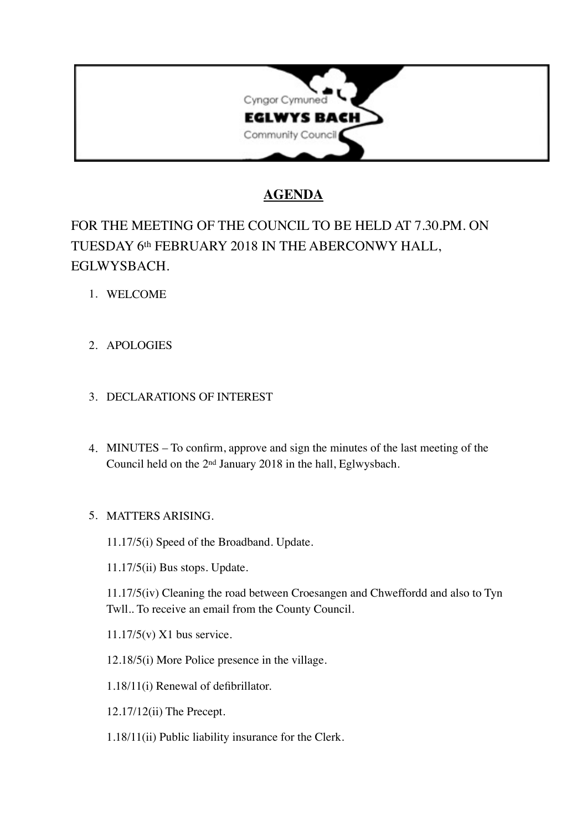

## **AGENDA**

# FOR THE MEETING OF THE COUNCIL TO BE HELD AT 7.30.PM. ON TUESDAY 6th FEBRUARY 2018 IN THE ABERCONWY HALL, EGLWYSBACH.

- 1. WELCOME
- 2. APOLOGIES

## 3. DECLARATIONS OF INTEREST

4. MINUTES – To confirm, approve and sign the minutes of the last meeting of the Council held on the 2nd January 2018 in the hall, Eglwysbach.

## 5. MATTERS ARISING.

11.17/5(i) Speed of the Broadband. Update.

11.17/5(ii) Bus stops. Update.

11.17/5(iv) Cleaning the road between Croesangen and Chweffordd and also to Tyn Twll.. To receive an email from the County Council.

11.17/5(v) X1 bus service.

12.18/5(i) More Police presence in the village.

1.18/11(i) Renewal of defibrillator.

12.17/12(ii) The Precept.

1.18/11(ii) Public liability insurance for the Clerk.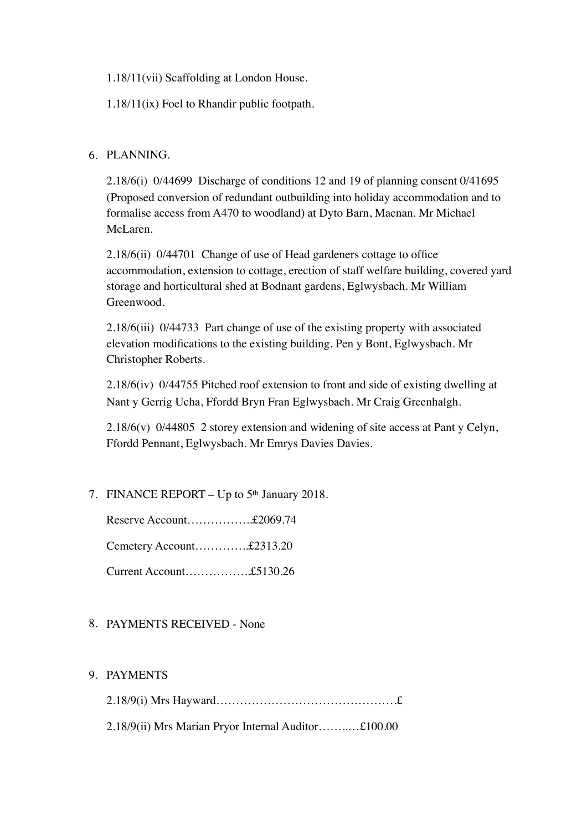1.18/11(vii) Scaffolding at London House.

1.18/11(ix) Foel to Rhandir public footpath.

#### 6. PLANNING.

2.18/6(i) 0/44699 Discharge of conditions 12 and 19 of planning consent 0/41695 (Proposed conversion of redundant outbuilding into holiday accommodation and to formalise access from A470 to woodland) at Dyto Barn, Maenan. Mr Michael McLaren.

2.18/6(ii) 0/44701 Change of use of Head gardeners cottage to office accommodation, extension to cottage, erection of staff welfare building, covered yard storage and horticultural shed at Bodnant gardens, Eglwysbach. Mr William Greenwood.

2.18/6(iii) 0/44733 Part change of use of the existing property with associated elevation modifications to the existing building. Pen y Bont, Eglwysbach. Mr Christopher Roberts.

2.18/6(iv) 0/44755 Pitched roof extension to front and side of existing dwelling at Nant y Gerrig Ucha, Ffordd Bryn Fran Eglwysbach. Mr Craig Greenhalgh.

2.18/6(v) 0/44805 2 storey extension and widening of site access at Pant y Celyn, Ffordd Pennant, Eglwysbach. Mr Emrys Davies Davies.

7. FINANCE REPORT – Up to 5<sup>th</sup> January 2018.

Reserve Account……………..£2069.74

Cemetery Account…………..£2313.20

Current Account……………..£5130.26

#### 8. PAYMENTS RECEIVED - None

#### 9. PAYMENTS

2.18/9(i) Mrs Hayward……………………………………….£ 2.18/9(ii) Mrs Marian Pryor Internal Auditor……..…£100.00